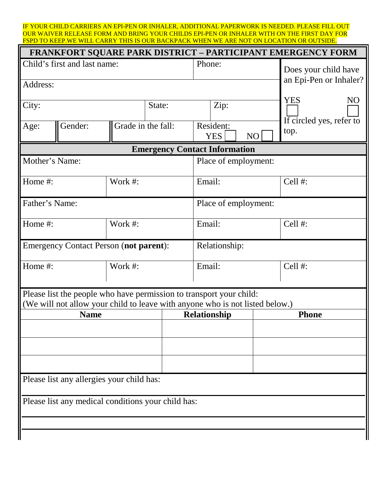IF YOUR CHILD CARRIERS AN EPI-PEN OR INHALER, ADDITIONAL PAPERWORK IS NEEDED. PLEASE FILL OUT OUR WAIVER RELEASE FORM AND BRING YOUR CHILDS EPI-PEN OR INHALER WITH ON THE FIRST DAY FOR FSPD TO KEEP.WE WILL CARRY THIS IS OUR BACKPACK WHEN WE ARE NOT ON LOCATION OR OUTSIDE.

| FRANKFORT SQUARE PARK DISTRICT - PARTICIPANT EMERGENCY FORM                                                                                         |                              |         |                    |                         |    |                                  |  |  |
|-----------------------------------------------------------------------------------------------------------------------------------------------------|------------------------------|---------|--------------------|-------------------------|----|----------------------------------|--|--|
|                                                                                                                                                     | Child's first and last name: |         |                    | Phone:                  |    | Does your child have             |  |  |
| Address:                                                                                                                                            |                              |         |                    |                         |    | an Epi-Pen or Inhaler?           |  |  |
| City:                                                                                                                                               |                              |         | State:             | Zip:                    |    | <b>YES</b><br>N <sub>O</sub>     |  |  |
| Age:                                                                                                                                                | Gender:                      |         | Grade in the fall: | Resident:<br><b>YES</b> | NO | If circled yes, refer to<br>top. |  |  |
| <b>Emergency Contact Information</b>                                                                                                                |                              |         |                    |                         |    |                                  |  |  |
| Mother's Name:                                                                                                                                      |                              |         |                    | Place of employment:    |    |                                  |  |  |
| Home #:                                                                                                                                             |                              | Work #: |                    | Email:                  |    | Cell #:                          |  |  |
| Father's Name:                                                                                                                                      |                              |         |                    | Place of employment:    |    |                                  |  |  |
| Home #:                                                                                                                                             |                              | Work #: |                    | Email:                  |    | Cell #:                          |  |  |
| <b>Emergency Contact Person (not parent):</b>                                                                                                       |                              |         |                    | Relationship:           |    |                                  |  |  |
| Home #:                                                                                                                                             |                              | Work #: |                    | Email:                  |    | Cell #:                          |  |  |
| Please list the people who have permission to transport your child:<br>(We will not allow your child to leave with anyone who is not listed below.) |                              |         |                    |                         |    |                                  |  |  |
| <b>Name</b>                                                                                                                                         |                              |         |                    | <b>Relationship</b>     |    | <b>Phone</b>                     |  |  |
|                                                                                                                                                     |                              |         |                    |                         |    |                                  |  |  |
|                                                                                                                                                     |                              |         |                    |                         |    |                                  |  |  |
|                                                                                                                                                     |                              |         |                    |                         |    |                                  |  |  |
| Please list any allergies your child has:                                                                                                           |                              |         |                    |                         |    |                                  |  |  |
| Please list any medical conditions your child has:                                                                                                  |                              |         |                    |                         |    |                                  |  |  |
|                                                                                                                                                     |                              |         |                    |                         |    |                                  |  |  |